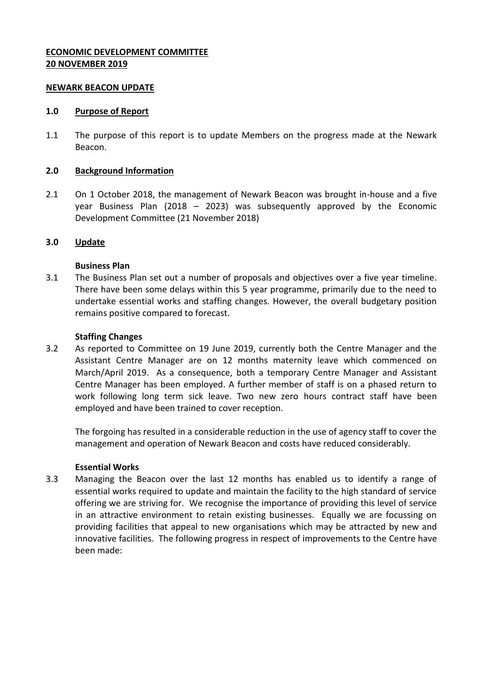# **ECONOMIC DEVELOPMENT COMMITTEE 20 NOVEMBER 2019**

#### **NEWARK BEACON UPDATE**

#### **1.0 Purpose of Report**

1.1 The purpose of this report is to update Members on the progress made at the Newark Beacon.

#### **2.0 Background Information**

2.1 On 1 October 2018, the management of Newark Beacon was brought in-house and a five year Business Plan (2018 – 2023) was subsequently approved by the Economic Development Committee (21 November 2018)

#### **3.0 Update**

# **Business Plan**

3.1 The Business Plan set out a number of proposals and objectives over a five year timeline. There have been some delays within this 5 year programme, primarily due to the need to undertake essential works and staffing changes. However, the overall budgetary position remains positive compared to forecast.

#### **Staffing Changes**

3.2 As reported to Committee on 19 June 2019, currently both the Centre Manager and the Assistant Centre Manager are on 12 months maternity leave which commenced on March/April 2019. As a consequence, both a temporary Centre Manager and Assistant Centre Manager has been employed. A further member of staff is on a phased return to work following long term sick leave. Two new zero hours contract staff have been employed and have been trained to cover reception.

The forgoing has resulted in a considerable reduction in the use of agency staff to cover the management and operation of Newark Beacon and costs have reduced considerably.

# **Essential Works**

3.3 Managing the Beacon over the last 12 months has enabled us to identify a range of essential works required to update and maintain the facility to the high standard of service offering we are striving for. We recognise the importance of providing this level of service in an attractive environment to retain existing businesses. Equally we are focussing on providing facilities that appeal to new organisations which may be attracted by new and innovative facilities. The following progress in respect of improvements to the Centre have been made: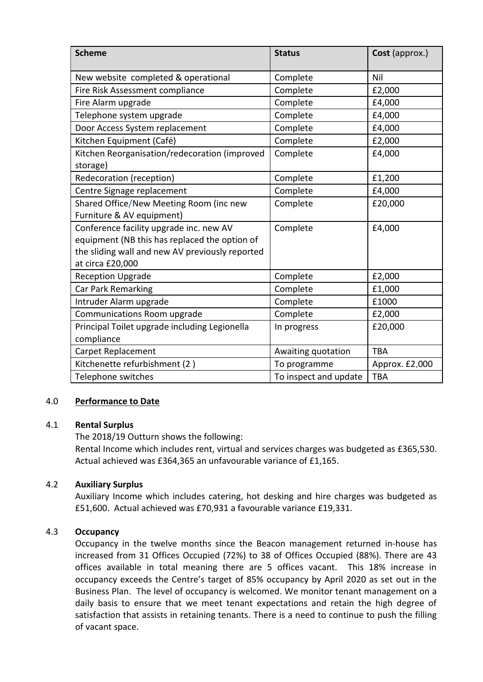| <b>Scheme</b>                                   | <b>Status</b>         | Cost (approx.) |
|-------------------------------------------------|-----------------------|----------------|
| New website completed & operational             | Complete              | Nil            |
| Fire Risk Assessment compliance                 | Complete              | £2,000         |
| Fire Alarm upgrade                              | Complete              | £4,000         |
| Telephone system upgrade                        | Complete              | £4,000         |
| Door Access System replacement                  | Complete              | £4,000         |
| Kitchen Equipment (Café)                        | Complete              | £2,000         |
| Kitchen Reorganisation/redecoration (improved   | Complete              | £4,000         |
| storage)                                        |                       |                |
| Redecoration (reception)                        | Complete              | £1,200         |
| Centre Signage replacement                      | Complete              | £4,000         |
| Shared Office/New Meeting Room (inc new         | Complete              | £20,000        |
| Furniture & AV equipment)                       |                       |                |
| Conference facility upgrade inc. new AV         | Complete              | £4,000         |
| equipment (NB this has replaced the option of   |                       |                |
| the sliding wall and new AV previously reported |                       |                |
| at circa £20,000                                |                       |                |
| <b>Reception Upgrade</b>                        | Complete              | £2,000         |
| Car Park Remarking                              | Complete              | £1,000         |
| Intruder Alarm upgrade                          | Complete              | £1000          |
| Communications Room upgrade                     | Complete              | £2,000         |
| Principal Toilet upgrade including Legionella   | In progress           | £20,000        |
| compliance                                      |                       |                |
| Carpet Replacement                              | Awaiting quotation    | TBA            |
| Kitchenette refurbishment (2)                   | To programme          | Approx. £2,000 |
| Telephone switches                              | To inspect and update | <b>TBA</b>     |

# 4.0 **Performance to Date**

# 4.1 **Rental Surplus**

The 2018/19 Outturn shows the following: Rental Income which includes rent, virtual and services charges was budgeted as £365,530. Actual achieved was £364,365 an unfavourable variance of £1,165.

# 4.2 **Auxiliary Surplus**

Auxiliary Income which includes catering, hot desking and hire charges was budgeted as £51,600. Actual achieved was £70,931 a favourable variance £19,331.

# 4.3 **Occupancy**

Occupancy in the twelve months since the Beacon management returned in-house has increased from 31 Offices Occupied (72%) to 38 of Offices Occupied (88%). There are 43 offices available in total meaning there are 5 offices vacant. This 18% increase in occupancy exceeds the Centre's target of 85% occupancy by April 2020 as set out in the Business Plan. The level of occupancy is welcomed. We monitor tenant management on a daily basis to ensure that we meet tenant expectations and retain the high degree of satisfaction that assists in retaining tenants. There is a need to continue to push the filling of vacant space.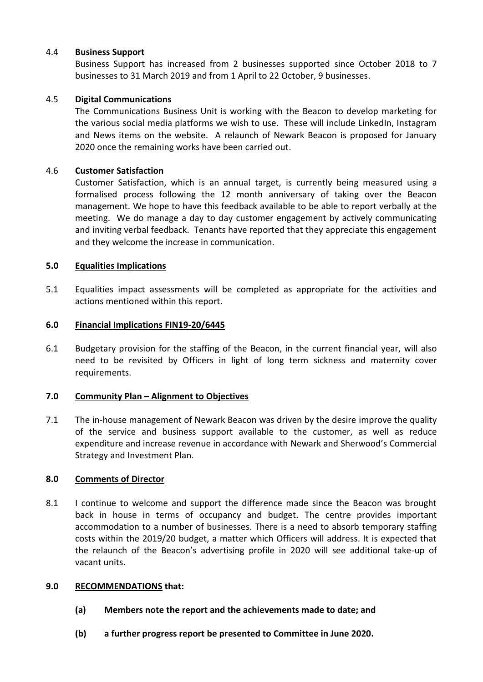# 4.4 **Business Support**

Business Support has increased from 2 businesses supported since October 2018 to 7 businesses to 31 March 2019 and from 1 April to 22 October, 9 businesses.

# 4.5 **Digital Communications**

The Communications Business Unit is working with the Beacon to develop marketing for the various social media platforms we wish to use. These will include LinkedIn, Instagram and News items on the website. A relaunch of Newark Beacon is proposed for January 2020 once the remaining works have been carried out.

# 4.6 **Customer Satisfaction**

Customer Satisfaction, which is an annual target, is currently being measured using a formalised process following the 12 month anniversary of taking over the Beacon management. We hope to have this feedback available to be able to report verbally at the meeting. We do manage a day to day customer engagement by actively communicating and inviting verbal feedback. Tenants have reported that they appreciate this engagement and they welcome the increase in communication.

# **5.0 Equalities Implications**

5.1 Equalities impact assessments will be completed as appropriate for the activities and actions mentioned within this report.

# **6.0 Financial Implications FIN19-20/6445**

6.1 Budgetary provision for the staffing of the Beacon, in the current financial year, will also need to be revisited by Officers in light of long term sickness and maternity cover requirements.

# **7.0 Community Plan – Alignment to Objectives**

7.1 The in-house management of Newark Beacon was driven by the desire improve the quality of the service and business support available to the customer, as well as reduce expenditure and increase revenue in accordance with Newark and Sherwood's Commercial Strategy and Investment Plan.

# **8.0 Comments of Director**

8.1 I continue to welcome and support the difference made since the Beacon was brought back in house in terms of occupancy and budget. The centre provides important accommodation to a number of businesses. There is a need to absorb temporary staffing costs within the 2019/20 budget, a matter which Officers will address. It is expected that the relaunch of the Beacon's advertising profile in 2020 will see additional take-up of vacant units.

# **9.0 RECOMMENDATIONS that:**

- **(a) Members note the report and the achievements made to date; and**
- **(b) a further progress report be presented to Committee in June 2020.**